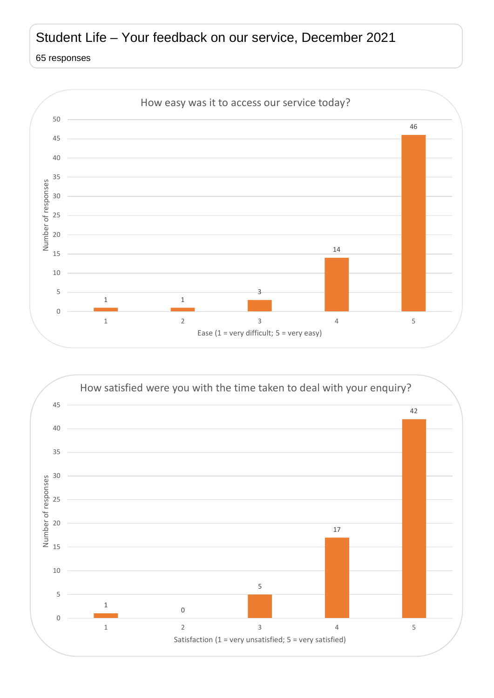## Student Life – Your feedback on our service, December 2021

## responses



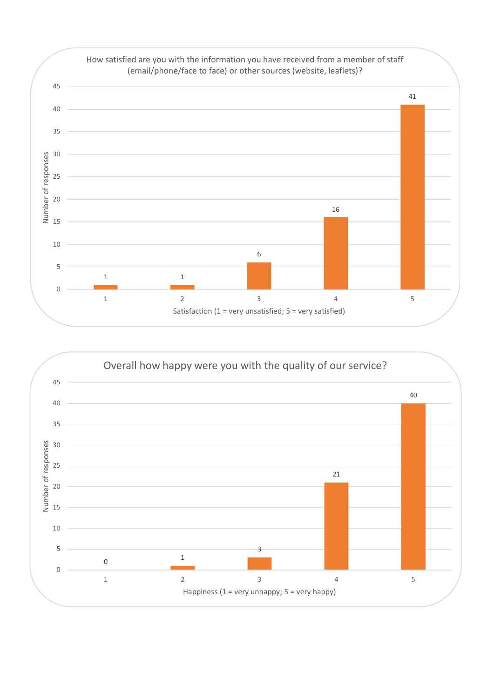